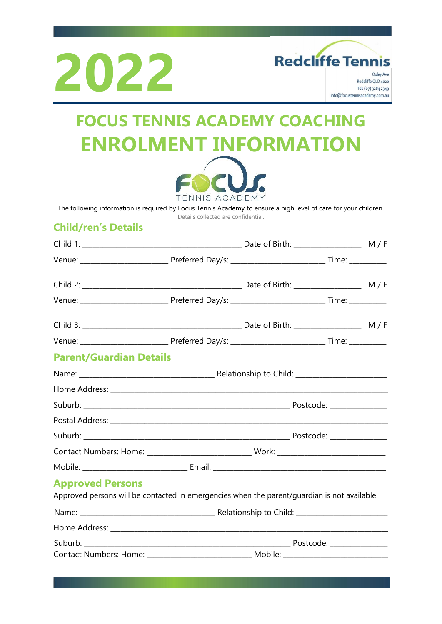



Redcliffe QLD 4020 Tel: (07) 3284 2349 info@focustennisacademy.com.au

# **FOCUS TENNIS ACADEMY COACHING ENROLMENT INFORMATION**



The following information is required by Focus Tennis Academy to ensure a high level of care for your children.

Details collected are confidential.

### **Child/ren's Details**

| <b>Parent/Guardian Details</b>                                                                                          |  |  |  |  |
|-------------------------------------------------------------------------------------------------------------------------|--|--|--|--|
|                                                                                                                         |  |  |  |  |
|                                                                                                                         |  |  |  |  |
|                                                                                                                         |  |  |  |  |
|                                                                                                                         |  |  |  |  |
|                                                                                                                         |  |  |  |  |
|                                                                                                                         |  |  |  |  |
|                                                                                                                         |  |  |  |  |
| <b>Approved Persons</b><br>Approved persons will be contacted in emergencies when the parent/guardian is not available. |  |  |  |  |
|                                                                                                                         |  |  |  |  |
|                                                                                                                         |  |  |  |  |
|                                                                                                                         |  |  |  |  |
|                                                                                                                         |  |  |  |  |